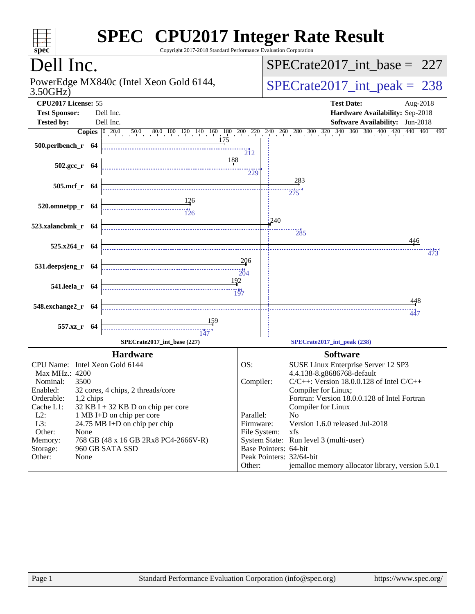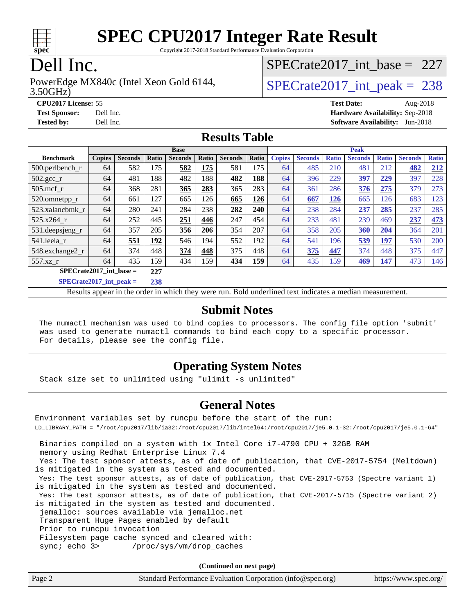

Copyright 2017-2018 Standard Performance Evaluation Corporation

## Dell Inc.

#### 3.50GHz) PowerEdge MX840c (Intel Xeon Gold 6144,  $SPECrate2017\_int\_peak = 238$

[SPECrate2017\\_int\\_base =](http://www.spec.org/auto/cpu2017/Docs/result-fields.html#SPECrate2017intbase) 227

**[CPU2017 License:](http://www.spec.org/auto/cpu2017/Docs/result-fields.html#CPU2017License)** 55 **[Test Date:](http://www.spec.org/auto/cpu2017/Docs/result-fields.html#TestDate)** Aug-2018 **[Test Sponsor:](http://www.spec.org/auto/cpu2017/Docs/result-fields.html#TestSponsor)** Dell Inc. **[Hardware Availability:](http://www.spec.org/auto/cpu2017/Docs/result-fields.html#HardwareAvailability)** Sep-2018 **[Tested by:](http://www.spec.org/auto/cpu2017/Docs/result-fields.html#Testedby)** Dell Inc. **[Software Availability:](http://www.spec.org/auto/cpu2017/Docs/result-fields.html#SoftwareAvailability)** Jun-2018

#### **[Results Table](http://www.spec.org/auto/cpu2017/Docs/result-fields.html#ResultsTable)**

|                                  | <b>Base</b>   |                |       |                |       | <b>Peak</b>    |            |               |                |              |                |              |                |              |
|----------------------------------|---------------|----------------|-------|----------------|-------|----------------|------------|---------------|----------------|--------------|----------------|--------------|----------------|--------------|
| <b>Benchmark</b>                 | <b>Copies</b> | <b>Seconds</b> | Ratio | <b>Seconds</b> | Ratio | <b>Seconds</b> | Ratio      | <b>Copies</b> | <b>Seconds</b> | <b>Ratio</b> | <b>Seconds</b> | <b>Ratio</b> | <b>Seconds</b> | <b>Ratio</b> |
| 500.perlbench_r                  | 64            | 582            | 175   | 582            | 175   | 581            | 175        | 64            | 485            | 210          | 481            | 212          | 482            | 212          |
| $502.\text{gcc\_r}$              | 64            | 481            | 188   | 482            | 188   | 482            | 188        | 64            | 396            | 229          | 397            | 229          | 397            | 228          |
| $505$ .mcf r                     | 64            | 368            | 281   | 365            | 283   | 365            | 283        | 64            | 361            | 286          | 376            | 275          | 379            | 273          |
| 520.omnetpp_r                    | 64            | 661            | 127   | 665            | 126   | 665            | 126        | 64            | 667            | 126          | 665            | 126          | 683            | 123          |
| 523.xalancbmk_r                  | 64            | 280            | 241   | 284            | 238   | 282            | 240        | 64            | 238            | 284          | 237            | 285          | 237            | 285          |
| 525.x264 r                       | 64            | 252            | 445   | 251            | 446   | 247            | 454        | 64            | 233            | 481          | 239            | 469          | 237            | 473          |
| $531.$ deepsjeng $_r$            | 64            | 357            | 205   | 356            | 206   | 354            | 207        | 64            | 358            | 205          | <b>360</b>     | 204          | 364            | 201          |
| 541.leela r                      | 64            | 551            | 192   | 546            | 194   | 552            | 192        | 64            | 541            | 196          | 539            | <u> 197</u>  | 530            | 200          |
| 548.exchange2_r                  | 64            | 374            | 448   | 374            | 448   | 375            | 448        | 64            | 375            | 447          | 374            | 448          | 375            | 447          |
| 557.xz r                         | 64            | 435            | 159   | 434            | 159   | 434            | <b>159</b> | 64            | 435            | 159          | 469            | <u>147</u>   | 473            | 146          |
| $SPECrate2017$ int base =<br>227 |               |                |       |                |       |                |            |               |                |              |                |              |                |              |
| $CDFCsoft2017 int model =$       |               |                | 220   |                |       |                |            |               |                |              |                |              |                |              |

**[SPECrate2017\\_int\\_peak =](http://www.spec.org/auto/cpu2017/Docs/result-fields.html#SPECrate2017intpeak) 238**

Results appear in the [order in which they were run](http://www.spec.org/auto/cpu2017/Docs/result-fields.html#RunOrder). Bold underlined text [indicates a median measurement](http://www.spec.org/auto/cpu2017/Docs/result-fields.html#Median).

#### **[Submit Notes](http://www.spec.org/auto/cpu2017/Docs/result-fields.html#SubmitNotes)**

 The numactl mechanism was used to bind copies to processors. The config file option 'submit' was used to generate numactl commands to bind each copy to a specific processor. For details, please see the config file.

#### **[Operating System Notes](http://www.spec.org/auto/cpu2017/Docs/result-fields.html#OperatingSystemNotes)**

Stack size set to unlimited using "ulimit -s unlimited"

#### **[General Notes](http://www.spec.org/auto/cpu2017/Docs/result-fields.html#GeneralNotes)**

Environment variables set by runcpu before the start of the run: LD\_LIBRARY\_PATH = "/root/cpu2017/lib/ia32:/root/cpu2017/lib/intel64:/root/cpu2017/je5.0.1-32:/root/cpu2017/je5.0.1-64" Binaries compiled on a system with 1x Intel Core i7-4790 CPU + 32GB RAM memory using Redhat Enterprise Linux 7.4 Yes: The test sponsor attests, as of date of publication, that CVE-2017-5754 (Meltdown) is mitigated in the system as tested and documented. Yes: The test sponsor attests, as of date of publication, that CVE-2017-5753 (Spectre variant 1) is mitigated in the system as tested and documented. Yes: The test sponsor attests, as of date of publication, that CVE-2017-5715 (Spectre variant 2) is mitigated in the system as tested and documented. jemalloc: sources available via jemalloc.net Transparent Huge Pages enabled by default Prior to runcpu invocation Filesystem page cache synced and cleared with: sync; echo 3> /proc/sys/vm/drop\_caches

**(Continued on next page)**

| Page 2<br>Standard Performance Evaluation Corporation (info@spec.org) |  | https://www.spec.org/ |
|-----------------------------------------------------------------------|--|-----------------------|
|-----------------------------------------------------------------------|--|-----------------------|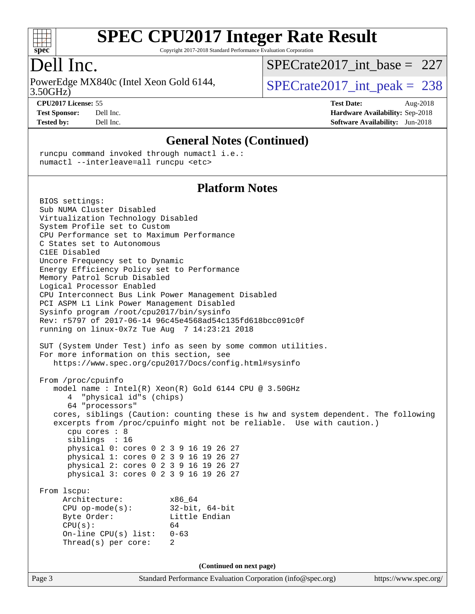

Copyright 2017-2018 Standard Performance Evaluation Corporation

#### Dell Inc.

3.50GHz) PowerEdge MX840c (Intel Xeon Gold 6144,  $SPECrate2017\_int\_peak = 238$ 

[SPECrate2017\\_int\\_base =](http://www.spec.org/auto/cpu2017/Docs/result-fields.html#SPECrate2017intbase) 227

**[CPU2017 License:](http://www.spec.org/auto/cpu2017/Docs/result-fields.html#CPU2017License)** 55 **[Test Date:](http://www.spec.org/auto/cpu2017/Docs/result-fields.html#TestDate)** Aug-2018

**[Test Sponsor:](http://www.spec.org/auto/cpu2017/Docs/result-fields.html#TestSponsor)** Dell Inc. **[Hardware Availability:](http://www.spec.org/auto/cpu2017/Docs/result-fields.html#HardwareAvailability)** Sep-2018 **[Tested by:](http://www.spec.org/auto/cpu2017/Docs/result-fields.html#Testedby)** Dell Inc. **[Software Availability:](http://www.spec.org/auto/cpu2017/Docs/result-fields.html#SoftwareAvailability)** Jun-2018

#### **[General Notes \(Continued\)](http://www.spec.org/auto/cpu2017/Docs/result-fields.html#GeneralNotes)**

 runcpu command invoked through numactl i.e.: numactl --interleave=all runcpu <etc>

#### **[Platform Notes](http://www.spec.org/auto/cpu2017/Docs/result-fields.html#PlatformNotes)**

Page 3 Standard Performance Evaluation Corporation [\(info@spec.org\)](mailto:info@spec.org) <https://www.spec.org/> BIOS settings: Sub NUMA Cluster Disabled Virtualization Technology Disabled System Profile set to Custom CPU Performance set to Maximum Performance C States set to Autonomous C1EE Disabled Uncore Frequency set to Dynamic Energy Efficiency Policy set to Performance Memory Patrol Scrub Disabled Logical Processor Enabled CPU Interconnect Bus Link Power Management Disabled PCI ASPM L1 Link Power Management Disabled Sysinfo program /root/cpu2017/bin/sysinfo Rev: r5797 of 2017-06-14 96c45e4568ad54c135fd618bcc091c0f running on linux-0x7z Tue Aug 7 14:23:21 2018 SUT (System Under Test) info as seen by some common utilities. For more information on this section, see <https://www.spec.org/cpu2017/Docs/config.html#sysinfo> From /proc/cpuinfo model name : Intel(R) Xeon(R) Gold 6144 CPU @ 3.50GHz 4 "physical id"s (chips) 64 "processors" cores, siblings (Caution: counting these is hw and system dependent. The following excerpts from /proc/cpuinfo might not be reliable. Use with caution.) cpu cores : 8 siblings : 16 physical 0: cores 0 2 3 9 16 19 26 27 physical 1: cores 0 2 3 9 16 19 26 27 physical 2: cores 0 2 3 9 16 19 26 27 physical 3: cores 0 2 3 9 16 19 26 27 From lscpu: Architecture: x86\_64 CPU op-mode(s): 32-bit, 64-bit Byte Order: Little Endian  $CPU(s):$  64 On-line CPU(s) list: 0-63 Thread(s) per core: 2 **(Continued on next page)**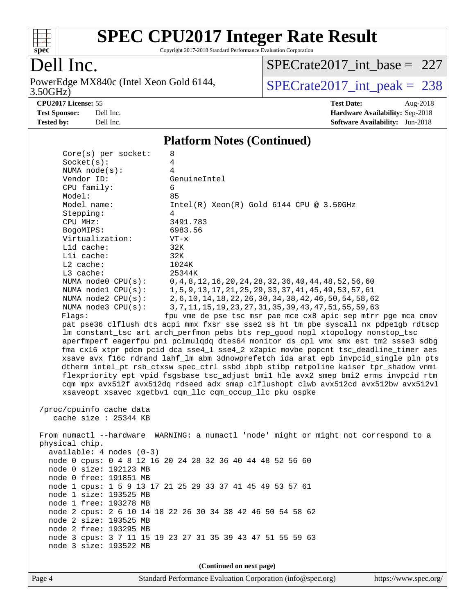

Copyright 2017-2018 Standard Performance Evaluation Corporation

## Dell Inc.

3.50GHz) PowerEdge MX840c (Intel Xeon Gold 6144,  $SPECrate2017\_int\_peak = 238$ 

[SPECrate2017\\_int\\_base =](http://www.spec.org/auto/cpu2017/Docs/result-fields.html#SPECrate2017intbase) 227

**[CPU2017 License:](http://www.spec.org/auto/cpu2017/Docs/result-fields.html#CPU2017License)** 55 **[Test Date:](http://www.spec.org/auto/cpu2017/Docs/result-fields.html#TestDate)** Aug-2018 **[Test Sponsor:](http://www.spec.org/auto/cpu2017/Docs/result-fields.html#TestSponsor)** Dell Inc. **[Hardware Availability:](http://www.spec.org/auto/cpu2017/Docs/result-fields.html#HardwareAvailability)** Sep-2018 **[Tested by:](http://www.spec.org/auto/cpu2017/Docs/result-fields.html#Testedby)** Dell Inc. **[Software Availability:](http://www.spec.org/auto/cpu2017/Docs/result-fields.html#SoftwareAvailability)** Jun-2018

#### **[Platform Notes \(Continued\)](http://www.spec.org/auto/cpu2017/Docs/result-fields.html#PlatformNotes)**

| $Core(s)$ per socket:                                                                | 8                                                                                                                                              |  |  |  |  |  |
|--------------------------------------------------------------------------------------|------------------------------------------------------------------------------------------------------------------------------------------------|--|--|--|--|--|
| Socket(s):                                                                           | 4                                                                                                                                              |  |  |  |  |  |
| NUMA $node(s):$                                                                      | 4                                                                                                                                              |  |  |  |  |  |
| Vendor ID:                                                                           | GenuineIntel                                                                                                                                   |  |  |  |  |  |
| CPU family:                                                                          | 6                                                                                                                                              |  |  |  |  |  |
| Model:                                                                               | 85                                                                                                                                             |  |  |  |  |  |
| Model name:                                                                          | $Intel(R)$ Xeon $(R)$ Gold 6144 CPU @ 3.50GHz                                                                                                  |  |  |  |  |  |
| Stepping:                                                                            | 4                                                                                                                                              |  |  |  |  |  |
| CPU MHz:                                                                             | 3491.783                                                                                                                                       |  |  |  |  |  |
| BogoMIPS:                                                                            | 6983.56                                                                                                                                        |  |  |  |  |  |
| Virtualization:                                                                      | $VT - x$                                                                                                                                       |  |  |  |  |  |
| L1d cache:                                                                           | 32K                                                                                                                                            |  |  |  |  |  |
| Lli cache:                                                                           | 32K                                                                                                                                            |  |  |  |  |  |
| $L2$ cache:                                                                          | 1024K                                                                                                                                          |  |  |  |  |  |
| L3 cache:                                                                            | 25344K                                                                                                                                         |  |  |  |  |  |
| NUMA node0 CPU(s):                                                                   | 0, 4, 8, 12, 16, 20, 24, 28, 32, 36, 40, 44, 48, 52, 56, 60                                                                                    |  |  |  |  |  |
| NUMA nodel CPU(s):                                                                   | 1, 5, 9, 13, 17, 21, 25, 29, 33, 37, 41, 45, 49, 53, 57, 61                                                                                    |  |  |  |  |  |
| NUMA $node2$ $CPU(s)$ :                                                              | 2, 6, 10, 14, 18, 22, 26, 30, 34, 38, 42, 46, 50, 54, 58, 62                                                                                   |  |  |  |  |  |
| NUMA node3 CPU(s):                                                                   | 3, 7, 11, 15, 19, 23, 27, 31, 35, 39, 43, 47, 51, 55, 59, 63                                                                                   |  |  |  |  |  |
| Flags:                                                                               | fpu vme de pse tsc msr pae mce cx8 apic sep mtrr pge mca cmov                                                                                  |  |  |  |  |  |
|                                                                                      | pat pse36 clflush dts acpi mmx fxsr sse sse2 ss ht tm pbe syscall nx pdpelgb rdtscp                                                            |  |  |  |  |  |
|                                                                                      | lm constant_tsc art arch_perfmon pebs bts rep_good nopl xtopology nonstop_tsc                                                                  |  |  |  |  |  |
|                                                                                      | aperfmperf eagerfpu pni pclmulqdq dtes64 monitor ds_cpl vmx smx est tm2 ssse3 sdbg                                                             |  |  |  |  |  |
|                                                                                      | fma cx16 xtpr pdcm pcid dca sse4_1 sse4_2 x2apic movbe popcnt tsc_deadline_timer aes                                                           |  |  |  |  |  |
|                                                                                      | xsave avx f16c rdrand lahf_lm abm 3dnowprefetch ida arat epb invpcid_single pln pts                                                            |  |  |  |  |  |
| dtherm intel_pt rsb_ctxsw spec_ctrl ssbd ibpb stibp retpoline kaiser tpr_shadow vnmi |                                                                                                                                                |  |  |  |  |  |
| flexpriority ept vpid fsgsbase tsc_adjust bmil hle avx2 smep bmi2 erms invpcid rtm   |                                                                                                                                                |  |  |  |  |  |
|                                                                                      | cqm mpx avx512f avx512dq rdseed adx smap clflushopt clwb avx512cd avx512bw avx512vl<br>xsaveopt xsavec xgetbvl cqm_llc cqm_occup_llc pku ospke |  |  |  |  |  |
|                                                                                      |                                                                                                                                                |  |  |  |  |  |
|                                                                                      |                                                                                                                                                |  |  |  |  |  |
| /proc/cpuinfo cache data<br>cache size : 25344 KB                                    |                                                                                                                                                |  |  |  |  |  |
|                                                                                      |                                                                                                                                                |  |  |  |  |  |
|                                                                                      | From numactl --hardware WARNING: a numactl 'node' might or might not correspond to a                                                           |  |  |  |  |  |
| physical chip.                                                                       |                                                                                                                                                |  |  |  |  |  |
| $available: 4 nodes (0-3)$                                                           |                                                                                                                                                |  |  |  |  |  |
|                                                                                      | node 0 cpus: 0 4 8 12 16 20 24 28 32 36 40 44 48 52 56 60                                                                                      |  |  |  |  |  |
| node 0 size: 192123 MB                                                               |                                                                                                                                                |  |  |  |  |  |
| node 0 free: 191851 MB                                                               |                                                                                                                                                |  |  |  |  |  |
|                                                                                      | node 1 cpus: 1 5 9 13 17 21 25 29 33 37 41 45 49 53 57 61                                                                                      |  |  |  |  |  |
| node 1 size: 193525 MB                                                               |                                                                                                                                                |  |  |  |  |  |
| node 1 free: 193278 MB                                                               |                                                                                                                                                |  |  |  |  |  |
|                                                                                      | node 2 cpus: 2 6 10 14 18 22 26 30 34 38 42 46 50 54 58 62                                                                                     |  |  |  |  |  |
| node 2 size: 193525 MB                                                               |                                                                                                                                                |  |  |  |  |  |
| node 2 free: 193295 MB                                                               |                                                                                                                                                |  |  |  |  |  |
|                                                                                      | node 3 cpus: 3 7 11 15 19 23 27 31 35 39 43 47 51 55 59 63                                                                                     |  |  |  |  |  |
| node 3 size: 193522 MB                                                               |                                                                                                                                                |  |  |  |  |  |
|                                                                                      |                                                                                                                                                |  |  |  |  |  |
| (Continued on next page)                                                             |                                                                                                                                                |  |  |  |  |  |
|                                                                                      |                                                                                                                                                |  |  |  |  |  |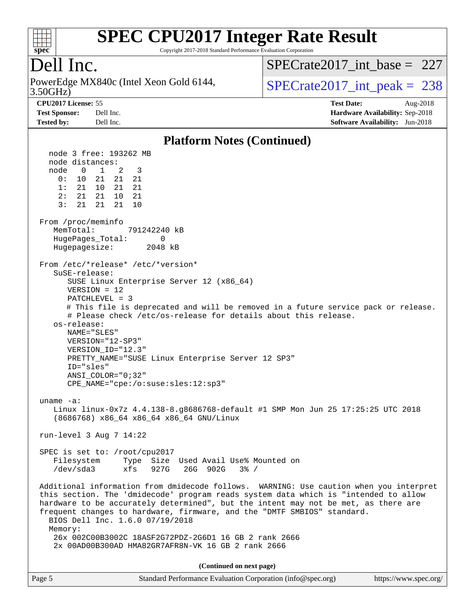

Copyright 2017-2018 Standard Performance Evaluation Corporation

### Dell Inc.

3.50GHz) PowerEdge MX840c (Intel Xeon Gold 6144,  $SPECrate2017\_int\_peak = 238$ 

[SPECrate2017\\_int\\_base =](http://www.spec.org/auto/cpu2017/Docs/result-fields.html#SPECrate2017intbase) 227

**[CPU2017 License:](http://www.spec.org/auto/cpu2017/Docs/result-fields.html#CPU2017License)** 55 **[Test Date:](http://www.spec.org/auto/cpu2017/Docs/result-fields.html#TestDate)** Aug-2018 **[Test Sponsor:](http://www.spec.org/auto/cpu2017/Docs/result-fields.html#TestSponsor)** Dell Inc. **[Hardware Availability:](http://www.spec.org/auto/cpu2017/Docs/result-fields.html#HardwareAvailability)** Sep-2018 **[Tested by:](http://www.spec.org/auto/cpu2017/Docs/result-fields.html#Testedby)** Dell Inc. **[Software Availability:](http://www.spec.org/auto/cpu2017/Docs/result-fields.html#SoftwareAvailability)** Jun-2018

#### **[Platform Notes \(Continued\)](http://www.spec.org/auto/cpu2017/Docs/result-fields.html#PlatformNotes)**

 node 3 free: 193262 MB node distances: node 0 1 2 3 0: 10 21 21 21 1: 21 10 21 21 2: 21 21 10 21 3: 21 21 21 10 From /proc/meminfo MemTotal: 791242240 kB HugePages\_Total: 0 Hugepagesize: 2048 kB From /etc/\*release\* /etc/\*version\* SuSE-release: SUSE Linux Enterprise Server 12 (x86\_64) VERSION = 12 PATCHLEVEL = 3 # This file is deprecated and will be removed in a future service pack or release. # Please check /etc/os-release for details about this release. os-release: NAME="SLES" VERSION="12-SP3" VERSION\_ID="12.3" PRETTY\_NAME="SUSE Linux Enterprise Server 12 SP3" ID="sles" ANSI\_COLOR="0;32" CPE\_NAME="cpe:/o:suse:sles:12:sp3" uname -a: Linux linux-0x7z 4.4.138-8.g8686768-default #1 SMP Mon Jun 25 17:25:25 UTC 2018 (8686768) x86\_64 x86\_64 x86\_64 GNU/Linux run-level 3 Aug 7 14:22 SPEC is set to: /root/cpu2017 Filesystem Type Size Used Avail Use% Mounted on /dev/sda3 xfs 927G 26G 902G 3% / Additional information from dmidecode follows. WARNING: Use caution when you interpret this section. The 'dmidecode' program reads system data which is "intended to allow hardware to be accurately determined", but the intent may not be met, as there are frequent changes to hardware, firmware, and the "DMTF SMBIOS" standard. BIOS Dell Inc. 1.6.0 07/19/2018 Memory: 26x 002C00B3002C 18ASF2G72PDZ-2G6D1 16 GB 2 rank 2666 2x 00AD00B300AD HMA82GR7AFR8N-VK 16 GB 2 rank 2666 **(Continued on next page)**

| Page 5 | Standard Performance Evaluation Corporation (info@spec.org) | https://www.spec.org/ |
|--------|-------------------------------------------------------------|-----------------------|
|--------|-------------------------------------------------------------|-----------------------|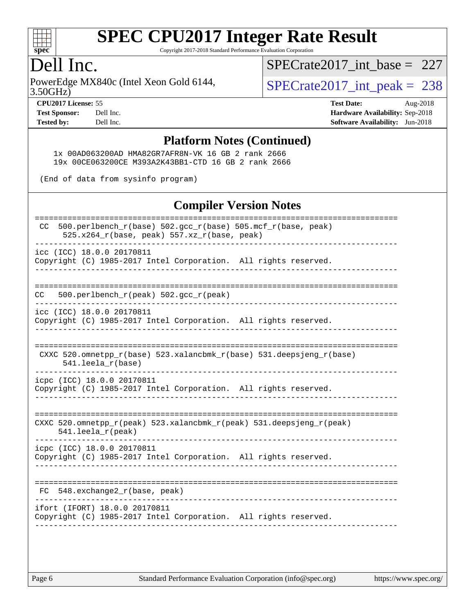

Copyright 2017-2018 Standard Performance Evaluation Corporation

#### Dell Inc.

3.50GHz) PowerEdge MX840c (Intel Xeon Gold 6144,  $\vert$ [SPECrate2017\\_int\\_peak =](http://www.spec.org/auto/cpu2017/Docs/result-fields.html#SPECrate2017intpeak) 238

[SPECrate2017\\_int\\_base =](http://www.spec.org/auto/cpu2017/Docs/result-fields.html#SPECrate2017intbase) 227

**[CPU2017 License:](http://www.spec.org/auto/cpu2017/Docs/result-fields.html#CPU2017License)** 55 **[Test Date:](http://www.spec.org/auto/cpu2017/Docs/result-fields.html#TestDate)** Aug-2018 **[Test Sponsor:](http://www.spec.org/auto/cpu2017/Docs/result-fields.html#TestSponsor)** Dell Inc. **[Hardware Availability:](http://www.spec.org/auto/cpu2017/Docs/result-fields.html#HardwareAvailability)** Sep-2018 **[Tested by:](http://www.spec.org/auto/cpu2017/Docs/result-fields.html#Testedby)** Dell Inc. **[Software Availability:](http://www.spec.org/auto/cpu2017/Docs/result-fields.html#SoftwareAvailability)** Jun-2018

#### **[Platform Notes \(Continued\)](http://www.spec.org/auto/cpu2017/Docs/result-fields.html#PlatformNotes)**

 1x 00AD063200AD HMA82GR7AFR8N-VK 16 GB 2 rank 2666 19x 00CE063200CE M393A2K43BB1-CTD 16 GB 2 rank 2666

(End of data from sysinfo program)

#### **[Compiler Version Notes](http://www.spec.org/auto/cpu2017/Docs/result-fields.html#CompilerVersionNotes)**

| 500.perlbench_r(base) 502.gcc_r(base) 505.mcf_r(base, peak)<br>CC.<br>525.x264_r(base, peak) 557.xz_r(base, peak) |  |
|-------------------------------------------------------------------------------------------------------------------|--|
| icc (ICC) 18.0.0 20170811<br>Copyright (C) 1985-2017 Intel Corporation. All rights reserved.                      |  |
|                                                                                                                   |  |
| 500.perlbench_r(peak) 502.gcc_r(peak)<br>CC                                                                       |  |
| icc (ICC) 18.0.0 20170811<br>Copyright (C) 1985-2017 Intel Corporation. All rights reserved.                      |  |
| CXXC 520.omnetpp_r(base) 523.xalancbmk_r(base) 531.deepsjeng_r(base)<br>541.leela_r(base)                         |  |
| icpc (ICC) 18.0.0 20170811<br>Copyright (C) 1985-2017 Intel Corporation. All rights reserved.                     |  |
| CXXC 520.omnetpp_r(peak) 523.xalancbmk_r(peak) 531.deepsjeng_r(peak)<br>$541.$ leela_r(peak)                      |  |
| icpc (ICC) 18.0.0 20170811<br>Copyright (C) 1985-2017 Intel Corporation. All rights reserved.                     |  |
| 548.exchange2_r(base, peak)<br>FC                                                                                 |  |
| ifort (IFORT) 18.0.0 20170811<br>Copyright (C) 1985-2017 Intel Corporation. All rights reserved.                  |  |
|                                                                                                                   |  |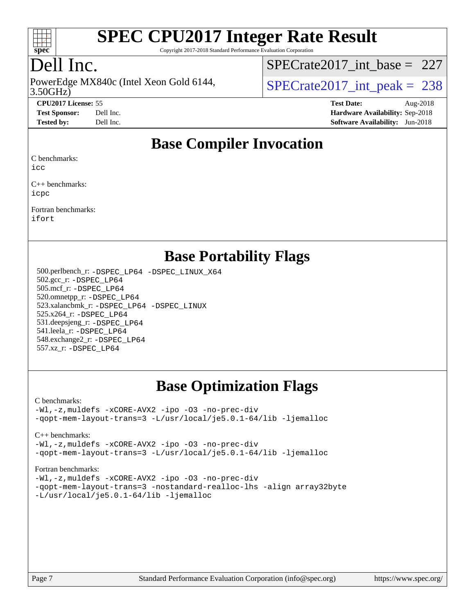

Copyright 2017-2018 Standard Performance Evaluation Corporation

## Dell Inc.

PowerEdge MX840c (Intel Xeon Gold 6144,<br>3.50GHz)

[SPECrate2017\\_int\\_base =](http://www.spec.org/auto/cpu2017/Docs/result-fields.html#SPECrate2017intbase) 227

 $SPECrate2017\_int\_peak = 238$ 

**[CPU2017 License:](http://www.spec.org/auto/cpu2017/Docs/result-fields.html#CPU2017License)** 55 **[Test Date:](http://www.spec.org/auto/cpu2017/Docs/result-fields.html#TestDate)** Aug-2018 **[Test Sponsor:](http://www.spec.org/auto/cpu2017/Docs/result-fields.html#TestSponsor)** Dell Inc. **[Hardware Availability:](http://www.spec.org/auto/cpu2017/Docs/result-fields.html#HardwareAvailability)** Sep-2018 **[Tested by:](http://www.spec.org/auto/cpu2017/Docs/result-fields.html#Testedby)** Dell Inc. **[Software Availability:](http://www.spec.org/auto/cpu2017/Docs/result-fields.html#SoftwareAvailability)** Jun-2018

#### **[Base Compiler Invocation](http://www.spec.org/auto/cpu2017/Docs/result-fields.html#BaseCompilerInvocation)**

[C benchmarks:](http://www.spec.org/auto/cpu2017/Docs/result-fields.html#Cbenchmarks)

[icc](http://www.spec.org/cpu2017/results/res2018q4/cpu2017-20181001-09028.flags.html#user_CCbase_intel_icc_18.0_66fc1ee009f7361af1fbd72ca7dcefbb700085f36577c54f309893dd4ec40d12360134090235512931783d35fd58c0460139e722d5067c5574d8eaf2b3e37e92)

[C++ benchmarks](http://www.spec.org/auto/cpu2017/Docs/result-fields.html#CXXbenchmarks): [icpc](http://www.spec.org/cpu2017/results/res2018q4/cpu2017-20181001-09028.flags.html#user_CXXbase_intel_icpc_18.0_c510b6838c7f56d33e37e94d029a35b4a7bccf4766a728ee175e80a419847e808290a9b78be685c44ab727ea267ec2f070ec5dc83b407c0218cded6866a35d07)

[Fortran benchmarks:](http://www.spec.org/auto/cpu2017/Docs/result-fields.html#Fortranbenchmarks) [ifort](http://www.spec.org/cpu2017/results/res2018q4/cpu2017-20181001-09028.flags.html#user_FCbase_intel_ifort_18.0_8111460550e3ca792625aed983ce982f94888b8b503583aa7ba2b8303487b4d8a21a13e7191a45c5fd58ff318f48f9492884d4413fa793fd88dd292cad7027ca)

#### **[Base Portability Flags](http://www.spec.org/auto/cpu2017/Docs/result-fields.html#BasePortabilityFlags)**

 500.perlbench\_r: [-DSPEC\\_LP64](http://www.spec.org/cpu2017/results/res2018q4/cpu2017-20181001-09028.flags.html#b500.perlbench_r_basePORTABILITY_DSPEC_LP64) [-DSPEC\\_LINUX\\_X64](http://www.spec.org/cpu2017/results/res2018q4/cpu2017-20181001-09028.flags.html#b500.perlbench_r_baseCPORTABILITY_DSPEC_LINUX_X64) 502.gcc\_r: [-DSPEC\\_LP64](http://www.spec.org/cpu2017/results/res2018q4/cpu2017-20181001-09028.flags.html#suite_basePORTABILITY502_gcc_r_DSPEC_LP64) 505.mcf\_r: [-DSPEC\\_LP64](http://www.spec.org/cpu2017/results/res2018q4/cpu2017-20181001-09028.flags.html#suite_basePORTABILITY505_mcf_r_DSPEC_LP64) 520.omnetpp\_r: [-DSPEC\\_LP64](http://www.spec.org/cpu2017/results/res2018q4/cpu2017-20181001-09028.flags.html#suite_basePORTABILITY520_omnetpp_r_DSPEC_LP64) 523.xalancbmk\_r: [-DSPEC\\_LP64](http://www.spec.org/cpu2017/results/res2018q4/cpu2017-20181001-09028.flags.html#suite_basePORTABILITY523_xalancbmk_r_DSPEC_LP64) [-DSPEC\\_LINUX](http://www.spec.org/cpu2017/results/res2018q4/cpu2017-20181001-09028.flags.html#b523.xalancbmk_r_baseCXXPORTABILITY_DSPEC_LINUX) 525.x264\_r: [-DSPEC\\_LP64](http://www.spec.org/cpu2017/results/res2018q4/cpu2017-20181001-09028.flags.html#suite_basePORTABILITY525_x264_r_DSPEC_LP64) 531.deepsjeng\_r: [-DSPEC\\_LP64](http://www.spec.org/cpu2017/results/res2018q4/cpu2017-20181001-09028.flags.html#suite_basePORTABILITY531_deepsjeng_r_DSPEC_LP64) 541.leela\_r: [-DSPEC\\_LP64](http://www.spec.org/cpu2017/results/res2018q4/cpu2017-20181001-09028.flags.html#suite_basePORTABILITY541_leela_r_DSPEC_LP64) 548.exchange2\_r: [-DSPEC\\_LP64](http://www.spec.org/cpu2017/results/res2018q4/cpu2017-20181001-09028.flags.html#suite_basePORTABILITY548_exchange2_r_DSPEC_LP64) 557.xz\_r: [-DSPEC\\_LP64](http://www.spec.org/cpu2017/results/res2018q4/cpu2017-20181001-09028.flags.html#suite_basePORTABILITY557_xz_r_DSPEC_LP64)

### **[Base Optimization Flags](http://www.spec.org/auto/cpu2017/Docs/result-fields.html#BaseOptimizationFlags)**

#### [C benchmarks](http://www.spec.org/auto/cpu2017/Docs/result-fields.html#Cbenchmarks):

[-Wl,-z,muldefs](http://www.spec.org/cpu2017/results/res2018q4/cpu2017-20181001-09028.flags.html#user_CCbase_link_force_multiple1_b4cbdb97b34bdee9ceefcfe54f4c8ea74255f0b02a4b23e853cdb0e18eb4525ac79b5a88067c842dd0ee6996c24547a27a4b99331201badda8798ef8a743f577) [-xCORE-AVX2](http://www.spec.org/cpu2017/results/res2018q4/cpu2017-20181001-09028.flags.html#user_CCbase_f-xCORE-AVX2) [-ipo](http://www.spec.org/cpu2017/results/res2018q4/cpu2017-20181001-09028.flags.html#user_CCbase_f-ipo) [-O3](http://www.spec.org/cpu2017/results/res2018q4/cpu2017-20181001-09028.flags.html#user_CCbase_f-O3) [-no-prec-div](http://www.spec.org/cpu2017/results/res2018q4/cpu2017-20181001-09028.flags.html#user_CCbase_f-no-prec-div) [-qopt-mem-layout-trans=3](http://www.spec.org/cpu2017/results/res2018q4/cpu2017-20181001-09028.flags.html#user_CCbase_f-qopt-mem-layout-trans_de80db37974c74b1f0e20d883f0b675c88c3b01e9d123adea9b28688d64333345fb62bc4a798493513fdb68f60282f9a726aa07f478b2f7113531aecce732043) [-L/usr/local/je5.0.1-64/lib](http://www.spec.org/cpu2017/results/res2018q4/cpu2017-20181001-09028.flags.html#user_CCbase_jemalloc_link_path64_4b10a636b7bce113509b17f3bd0d6226c5fb2346b9178c2d0232c14f04ab830f976640479e5c33dc2bcbbdad86ecfb6634cbbd4418746f06f368b512fced5394) [-ljemalloc](http://www.spec.org/cpu2017/results/res2018q4/cpu2017-20181001-09028.flags.html#user_CCbase_jemalloc_link_lib_d1249b907c500fa1c0672f44f562e3d0f79738ae9e3c4a9c376d49f265a04b9c99b167ecedbf6711b3085be911c67ff61f150a17b3472be731631ba4d0471706)

[C++ benchmarks:](http://www.spec.org/auto/cpu2017/Docs/result-fields.html#CXXbenchmarks)

[-Wl,-z,muldefs](http://www.spec.org/cpu2017/results/res2018q4/cpu2017-20181001-09028.flags.html#user_CXXbase_link_force_multiple1_b4cbdb97b34bdee9ceefcfe54f4c8ea74255f0b02a4b23e853cdb0e18eb4525ac79b5a88067c842dd0ee6996c24547a27a4b99331201badda8798ef8a743f577) [-xCORE-AVX2](http://www.spec.org/cpu2017/results/res2018q4/cpu2017-20181001-09028.flags.html#user_CXXbase_f-xCORE-AVX2) [-ipo](http://www.spec.org/cpu2017/results/res2018q4/cpu2017-20181001-09028.flags.html#user_CXXbase_f-ipo) [-O3](http://www.spec.org/cpu2017/results/res2018q4/cpu2017-20181001-09028.flags.html#user_CXXbase_f-O3) [-no-prec-div](http://www.spec.org/cpu2017/results/res2018q4/cpu2017-20181001-09028.flags.html#user_CXXbase_f-no-prec-div) [-qopt-mem-layout-trans=3](http://www.spec.org/cpu2017/results/res2018q4/cpu2017-20181001-09028.flags.html#user_CXXbase_f-qopt-mem-layout-trans_de80db37974c74b1f0e20d883f0b675c88c3b01e9d123adea9b28688d64333345fb62bc4a798493513fdb68f60282f9a726aa07f478b2f7113531aecce732043) [-L/usr/local/je5.0.1-64/lib](http://www.spec.org/cpu2017/results/res2018q4/cpu2017-20181001-09028.flags.html#user_CXXbase_jemalloc_link_path64_4b10a636b7bce113509b17f3bd0d6226c5fb2346b9178c2d0232c14f04ab830f976640479e5c33dc2bcbbdad86ecfb6634cbbd4418746f06f368b512fced5394) [-ljemalloc](http://www.spec.org/cpu2017/results/res2018q4/cpu2017-20181001-09028.flags.html#user_CXXbase_jemalloc_link_lib_d1249b907c500fa1c0672f44f562e3d0f79738ae9e3c4a9c376d49f265a04b9c99b167ecedbf6711b3085be911c67ff61f150a17b3472be731631ba4d0471706)

#### [Fortran benchmarks](http://www.spec.org/auto/cpu2017/Docs/result-fields.html#Fortranbenchmarks):

[-Wl,-z,muldefs](http://www.spec.org/cpu2017/results/res2018q4/cpu2017-20181001-09028.flags.html#user_FCbase_link_force_multiple1_b4cbdb97b34bdee9ceefcfe54f4c8ea74255f0b02a4b23e853cdb0e18eb4525ac79b5a88067c842dd0ee6996c24547a27a4b99331201badda8798ef8a743f577) [-xCORE-AVX2](http://www.spec.org/cpu2017/results/res2018q4/cpu2017-20181001-09028.flags.html#user_FCbase_f-xCORE-AVX2) [-ipo](http://www.spec.org/cpu2017/results/res2018q4/cpu2017-20181001-09028.flags.html#user_FCbase_f-ipo) [-O3](http://www.spec.org/cpu2017/results/res2018q4/cpu2017-20181001-09028.flags.html#user_FCbase_f-O3) [-no-prec-div](http://www.spec.org/cpu2017/results/res2018q4/cpu2017-20181001-09028.flags.html#user_FCbase_f-no-prec-div) [-qopt-mem-layout-trans=3](http://www.spec.org/cpu2017/results/res2018q4/cpu2017-20181001-09028.flags.html#user_FCbase_f-qopt-mem-layout-trans_de80db37974c74b1f0e20d883f0b675c88c3b01e9d123adea9b28688d64333345fb62bc4a798493513fdb68f60282f9a726aa07f478b2f7113531aecce732043) [-nostandard-realloc-lhs](http://www.spec.org/cpu2017/results/res2018q4/cpu2017-20181001-09028.flags.html#user_FCbase_f_2003_std_realloc_82b4557e90729c0f113870c07e44d33d6f5a304b4f63d4c15d2d0f1fab99f5daaed73bdb9275d9ae411527f28b936061aa8b9c8f2d63842963b95c9dd6426b8a) [-align array32byte](http://www.spec.org/cpu2017/results/res2018q4/cpu2017-20181001-09028.flags.html#user_FCbase_align_array32byte_b982fe038af199962ba9a80c053b8342c548c85b40b8e86eb3cc33dee0d7986a4af373ac2d51c3f7cf710a18d62fdce2948f201cd044323541f22fc0fffc51b6) [-L/usr/local/je5.0.1-64/lib](http://www.spec.org/cpu2017/results/res2018q4/cpu2017-20181001-09028.flags.html#user_FCbase_jemalloc_link_path64_4b10a636b7bce113509b17f3bd0d6226c5fb2346b9178c2d0232c14f04ab830f976640479e5c33dc2bcbbdad86ecfb6634cbbd4418746f06f368b512fced5394) [-ljemalloc](http://www.spec.org/cpu2017/results/res2018q4/cpu2017-20181001-09028.flags.html#user_FCbase_jemalloc_link_lib_d1249b907c500fa1c0672f44f562e3d0f79738ae9e3c4a9c376d49f265a04b9c99b167ecedbf6711b3085be911c67ff61f150a17b3472be731631ba4d0471706)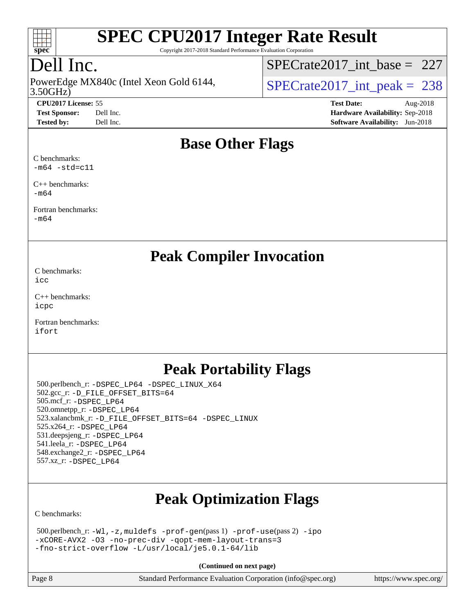

Copyright 2017-2018 Standard Performance Evaluation Corporation

## Dell Inc.

3.50GHz) PowerEdge MX840c (Intel Xeon Gold 6144,  $\vert$ [SPECrate2017\\_int\\_peak =](http://www.spec.org/auto/cpu2017/Docs/result-fields.html#SPECrate2017intpeak) 238

[SPECrate2017\\_int\\_base =](http://www.spec.org/auto/cpu2017/Docs/result-fields.html#SPECrate2017intbase) 227

**[CPU2017 License:](http://www.spec.org/auto/cpu2017/Docs/result-fields.html#CPU2017License)** 55 **[Test Date:](http://www.spec.org/auto/cpu2017/Docs/result-fields.html#TestDate)** Aug-2018 **[Test Sponsor:](http://www.spec.org/auto/cpu2017/Docs/result-fields.html#TestSponsor)** Dell Inc. **[Hardware Availability:](http://www.spec.org/auto/cpu2017/Docs/result-fields.html#HardwareAvailability)** Sep-2018 **[Tested by:](http://www.spec.org/auto/cpu2017/Docs/result-fields.html#Testedby)** Dell Inc. **[Software Availability:](http://www.spec.org/auto/cpu2017/Docs/result-fields.html#SoftwareAvailability)** Jun-2018

#### **[Base Other Flags](http://www.spec.org/auto/cpu2017/Docs/result-fields.html#BaseOtherFlags)**

[C benchmarks:](http://www.spec.org/auto/cpu2017/Docs/result-fields.html#Cbenchmarks)  $-m64$   $-std=cl1$ 

[C++ benchmarks:](http://www.spec.org/auto/cpu2017/Docs/result-fields.html#CXXbenchmarks) [-m64](http://www.spec.org/cpu2017/results/res2018q4/cpu2017-20181001-09028.flags.html#user_CXXbase_intel_intel64_18.0_af43caccfc8ded86e7699f2159af6efc7655f51387b94da716254467f3c01020a5059329e2569e4053f409e7c9202a7efc638f7a6d1ffb3f52dea4a3e31d82ab)

[Fortran benchmarks](http://www.spec.org/auto/cpu2017/Docs/result-fields.html#Fortranbenchmarks): [-m64](http://www.spec.org/cpu2017/results/res2018q4/cpu2017-20181001-09028.flags.html#user_FCbase_intel_intel64_18.0_af43caccfc8ded86e7699f2159af6efc7655f51387b94da716254467f3c01020a5059329e2569e4053f409e7c9202a7efc638f7a6d1ffb3f52dea4a3e31d82ab)

**[Peak Compiler Invocation](http://www.spec.org/auto/cpu2017/Docs/result-fields.html#PeakCompilerInvocation)**

[C benchmarks](http://www.spec.org/auto/cpu2017/Docs/result-fields.html#Cbenchmarks): [icc](http://www.spec.org/cpu2017/results/res2018q4/cpu2017-20181001-09028.flags.html#user_CCpeak_intel_icc_18.0_66fc1ee009f7361af1fbd72ca7dcefbb700085f36577c54f309893dd4ec40d12360134090235512931783d35fd58c0460139e722d5067c5574d8eaf2b3e37e92)

[C++ benchmarks:](http://www.spec.org/auto/cpu2017/Docs/result-fields.html#CXXbenchmarks) [icpc](http://www.spec.org/cpu2017/results/res2018q4/cpu2017-20181001-09028.flags.html#user_CXXpeak_intel_icpc_18.0_c510b6838c7f56d33e37e94d029a35b4a7bccf4766a728ee175e80a419847e808290a9b78be685c44ab727ea267ec2f070ec5dc83b407c0218cded6866a35d07)

[Fortran benchmarks](http://www.spec.org/auto/cpu2017/Docs/result-fields.html#Fortranbenchmarks): [ifort](http://www.spec.org/cpu2017/results/res2018q4/cpu2017-20181001-09028.flags.html#user_FCpeak_intel_ifort_18.0_8111460550e3ca792625aed983ce982f94888b8b503583aa7ba2b8303487b4d8a21a13e7191a45c5fd58ff318f48f9492884d4413fa793fd88dd292cad7027ca)

### **[Peak Portability Flags](http://www.spec.org/auto/cpu2017/Docs/result-fields.html#PeakPortabilityFlags)**

 500.perlbench\_r: [-DSPEC\\_LP64](http://www.spec.org/cpu2017/results/res2018q4/cpu2017-20181001-09028.flags.html#b500.perlbench_r_peakPORTABILITY_DSPEC_LP64) [-DSPEC\\_LINUX\\_X64](http://www.spec.org/cpu2017/results/res2018q4/cpu2017-20181001-09028.flags.html#b500.perlbench_r_peakCPORTABILITY_DSPEC_LINUX_X64) 502.gcc\_r: [-D\\_FILE\\_OFFSET\\_BITS=64](http://www.spec.org/cpu2017/results/res2018q4/cpu2017-20181001-09028.flags.html#user_peakPORTABILITY502_gcc_r_file_offset_bits_64_5ae949a99b284ddf4e95728d47cb0843d81b2eb0e18bdfe74bbf0f61d0b064f4bda2f10ea5eb90e1dcab0e84dbc592acfc5018bc955c18609f94ddb8d550002c) 505.mcf\_r: [-DSPEC\\_LP64](http://www.spec.org/cpu2017/results/res2018q4/cpu2017-20181001-09028.flags.html#suite_peakPORTABILITY505_mcf_r_DSPEC_LP64) 520.omnetpp\_r: [-DSPEC\\_LP64](http://www.spec.org/cpu2017/results/res2018q4/cpu2017-20181001-09028.flags.html#suite_peakPORTABILITY520_omnetpp_r_DSPEC_LP64) 523.xalancbmk\_r: [-D\\_FILE\\_OFFSET\\_BITS=64](http://www.spec.org/cpu2017/results/res2018q4/cpu2017-20181001-09028.flags.html#user_peakPORTABILITY523_xalancbmk_r_file_offset_bits_64_5ae949a99b284ddf4e95728d47cb0843d81b2eb0e18bdfe74bbf0f61d0b064f4bda2f10ea5eb90e1dcab0e84dbc592acfc5018bc955c18609f94ddb8d550002c) [-DSPEC\\_LINUX](http://www.spec.org/cpu2017/results/res2018q4/cpu2017-20181001-09028.flags.html#b523.xalancbmk_r_peakCXXPORTABILITY_DSPEC_LINUX) 525.x264\_r: [-DSPEC\\_LP64](http://www.spec.org/cpu2017/results/res2018q4/cpu2017-20181001-09028.flags.html#suite_peakPORTABILITY525_x264_r_DSPEC_LP64) 531.deepsjeng\_r: [-DSPEC\\_LP64](http://www.spec.org/cpu2017/results/res2018q4/cpu2017-20181001-09028.flags.html#suite_peakPORTABILITY531_deepsjeng_r_DSPEC_LP64) 541.leela\_r: [-DSPEC\\_LP64](http://www.spec.org/cpu2017/results/res2018q4/cpu2017-20181001-09028.flags.html#suite_peakPORTABILITY541_leela_r_DSPEC_LP64) 548.exchange2\_r: [-DSPEC\\_LP64](http://www.spec.org/cpu2017/results/res2018q4/cpu2017-20181001-09028.flags.html#suite_peakPORTABILITY548_exchange2_r_DSPEC_LP64) 557.xz\_r: [-DSPEC\\_LP64](http://www.spec.org/cpu2017/results/res2018q4/cpu2017-20181001-09028.flags.html#suite_peakPORTABILITY557_xz_r_DSPEC_LP64)

## **[Peak Optimization Flags](http://www.spec.org/auto/cpu2017/Docs/result-fields.html#PeakOptimizationFlags)**

[C benchmarks](http://www.spec.org/auto/cpu2017/Docs/result-fields.html#Cbenchmarks):

| $500.$ perlbench_r: -Wl, -z, muldefs -prof-gen(pass 1) -prof-use(pass 2) -ipo |  |
|-------------------------------------------------------------------------------|--|
| -xCORE-AVX2 -03 -no-prec-div -gopt-mem-layout-trans=3                         |  |
| -fno-strict-overflow -L/usr/local/je5.0.1-64/lib                              |  |

**(Continued on next page)**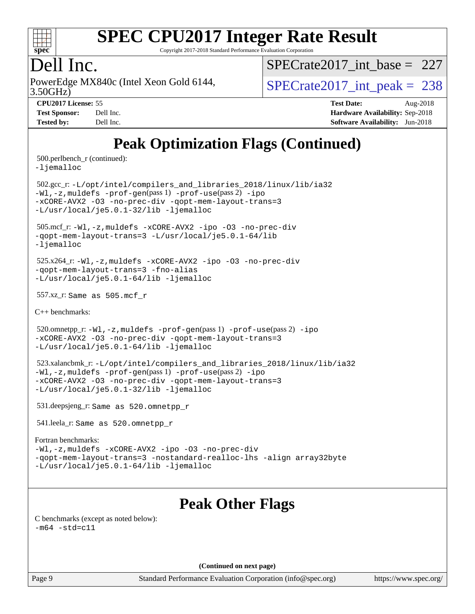

Copyright 2017-2018 Standard Performance Evaluation Corporation

### Dell Inc.

3.50GHz) PowerEdge MX840c (Intel Xeon Gold 6144,  $SPECrate2017\_int\_peak = 238$ 

 $SPECrate2017\_int\_base = 227$ 

| <b>Test Sponsor:</b> | Dell Inc. |
|----------------------|-----------|
| <b>Tested by:</b>    | Dell Inc. |

**[CPU2017 License:](http://www.spec.org/auto/cpu2017/Docs/result-fields.html#CPU2017License)** 55 **[Test Date:](http://www.spec.org/auto/cpu2017/Docs/result-fields.html#TestDate)** Aug-2018 **[Hardware Availability:](http://www.spec.org/auto/cpu2017/Docs/result-fields.html#HardwareAvailability)** Sep-2018 **[Software Availability:](http://www.spec.org/auto/cpu2017/Docs/result-fields.html#SoftwareAvailability)** Jun-2018

## **[Peak Optimization Flags \(Continued\)](http://www.spec.org/auto/cpu2017/Docs/result-fields.html#PeakOptimizationFlags)**

500.perlbench\_r (continued):

[-ljemalloc](http://www.spec.org/cpu2017/results/res2018q4/cpu2017-20181001-09028.flags.html#user_peakEXTRA_LIBS500_perlbench_r_jemalloc_link_lib_d1249b907c500fa1c0672f44f562e3d0f79738ae9e3c4a9c376d49f265a04b9c99b167ecedbf6711b3085be911c67ff61f150a17b3472be731631ba4d0471706)

 502.gcc\_r: [-L/opt/intel/compilers\\_and\\_libraries\\_2018/linux/lib/ia32](http://www.spec.org/cpu2017/results/res2018q4/cpu2017-20181001-09028.flags.html#user_peakCCLD502_gcc_r_Enable-32bit-runtime_af243bdb1d79e4c7a4f720bf8275e627de2ecd461de63307bc14cef0633fde3cd7bb2facb32dcc8be9566045fb55d40ce2b72b725f73827aa7833441b71b9343) [-Wl,-z,muldefs](http://www.spec.org/cpu2017/results/res2018q4/cpu2017-20181001-09028.flags.html#user_peakEXTRA_LDFLAGS502_gcc_r_link_force_multiple1_b4cbdb97b34bdee9ceefcfe54f4c8ea74255f0b02a4b23e853cdb0e18eb4525ac79b5a88067c842dd0ee6996c24547a27a4b99331201badda8798ef8a743f577) [-prof-gen](http://www.spec.org/cpu2017/results/res2018q4/cpu2017-20181001-09028.flags.html#user_peakPASS1_CFLAGSPASS1_LDFLAGS502_gcc_r_prof_gen_5aa4926d6013ddb2a31985c654b3eb18169fc0c6952a63635c234f711e6e63dd76e94ad52365559451ec499a2cdb89e4dc58ba4c67ef54ca681ffbe1461d6b36)(pass 1) [-prof-use](http://www.spec.org/cpu2017/results/res2018q4/cpu2017-20181001-09028.flags.html#user_peakPASS2_CFLAGSPASS2_LDFLAGS502_gcc_r_prof_use_1a21ceae95f36a2b53c25747139a6c16ca95bd9def2a207b4f0849963b97e94f5260e30a0c64f4bb623698870e679ca08317ef8150905d41bd88c6f78df73f19)(pass 2) [-ipo](http://www.spec.org/cpu2017/results/res2018q4/cpu2017-20181001-09028.flags.html#user_peakPASS1_COPTIMIZEPASS2_COPTIMIZE502_gcc_r_f-ipo) [-xCORE-AVX2](http://www.spec.org/cpu2017/results/res2018q4/cpu2017-20181001-09028.flags.html#user_peakPASS2_COPTIMIZE502_gcc_r_f-xCORE-AVX2) [-O3](http://www.spec.org/cpu2017/results/res2018q4/cpu2017-20181001-09028.flags.html#user_peakPASS1_COPTIMIZEPASS2_COPTIMIZE502_gcc_r_f-O3) [-no-prec-div](http://www.spec.org/cpu2017/results/res2018q4/cpu2017-20181001-09028.flags.html#user_peakPASS1_COPTIMIZEPASS2_COPTIMIZE502_gcc_r_f-no-prec-div) [-qopt-mem-layout-trans=3](http://www.spec.org/cpu2017/results/res2018q4/cpu2017-20181001-09028.flags.html#user_peakPASS1_COPTIMIZEPASS2_COPTIMIZE502_gcc_r_f-qopt-mem-layout-trans_de80db37974c74b1f0e20d883f0b675c88c3b01e9d123adea9b28688d64333345fb62bc4a798493513fdb68f60282f9a726aa07f478b2f7113531aecce732043) [-L/usr/local/je5.0.1-32/lib](http://www.spec.org/cpu2017/results/res2018q4/cpu2017-20181001-09028.flags.html#user_peakEXTRA_LIBS502_gcc_r_jemalloc_link_path32_e29f22e8e6c17053bbc6a0971f5a9c01a601a06bb1a59df2084b77a2fe0a2995b64fd4256feaeea39eeba3aae142e96e2b2b0a28974019c0c0c88139a84f900a) [-ljemalloc](http://www.spec.org/cpu2017/results/res2018q4/cpu2017-20181001-09028.flags.html#user_peakEXTRA_LIBS502_gcc_r_jemalloc_link_lib_d1249b907c500fa1c0672f44f562e3d0f79738ae9e3c4a9c376d49f265a04b9c99b167ecedbf6711b3085be911c67ff61f150a17b3472be731631ba4d0471706)

 505.mcf\_r: [-Wl,-z,muldefs](http://www.spec.org/cpu2017/results/res2018q4/cpu2017-20181001-09028.flags.html#user_peakEXTRA_LDFLAGS505_mcf_r_link_force_multiple1_b4cbdb97b34bdee9ceefcfe54f4c8ea74255f0b02a4b23e853cdb0e18eb4525ac79b5a88067c842dd0ee6996c24547a27a4b99331201badda8798ef8a743f577) [-xCORE-AVX2](http://www.spec.org/cpu2017/results/res2018q4/cpu2017-20181001-09028.flags.html#user_peakCOPTIMIZE505_mcf_r_f-xCORE-AVX2) [-ipo](http://www.spec.org/cpu2017/results/res2018q4/cpu2017-20181001-09028.flags.html#user_peakCOPTIMIZE505_mcf_r_f-ipo) [-O3](http://www.spec.org/cpu2017/results/res2018q4/cpu2017-20181001-09028.flags.html#user_peakCOPTIMIZE505_mcf_r_f-O3) [-no-prec-div](http://www.spec.org/cpu2017/results/res2018q4/cpu2017-20181001-09028.flags.html#user_peakCOPTIMIZE505_mcf_r_f-no-prec-div) [-qopt-mem-layout-trans=3](http://www.spec.org/cpu2017/results/res2018q4/cpu2017-20181001-09028.flags.html#user_peakCOPTIMIZE505_mcf_r_f-qopt-mem-layout-trans_de80db37974c74b1f0e20d883f0b675c88c3b01e9d123adea9b28688d64333345fb62bc4a798493513fdb68f60282f9a726aa07f478b2f7113531aecce732043) [-L/usr/local/je5.0.1-64/lib](http://www.spec.org/cpu2017/results/res2018q4/cpu2017-20181001-09028.flags.html#user_peakEXTRA_LIBS505_mcf_r_jemalloc_link_path64_4b10a636b7bce113509b17f3bd0d6226c5fb2346b9178c2d0232c14f04ab830f976640479e5c33dc2bcbbdad86ecfb6634cbbd4418746f06f368b512fced5394) [-ljemalloc](http://www.spec.org/cpu2017/results/res2018q4/cpu2017-20181001-09028.flags.html#user_peakEXTRA_LIBS505_mcf_r_jemalloc_link_lib_d1249b907c500fa1c0672f44f562e3d0f79738ae9e3c4a9c376d49f265a04b9c99b167ecedbf6711b3085be911c67ff61f150a17b3472be731631ba4d0471706)

 525.x264\_r: [-Wl,-z,muldefs](http://www.spec.org/cpu2017/results/res2018q4/cpu2017-20181001-09028.flags.html#user_peakEXTRA_LDFLAGS525_x264_r_link_force_multiple1_b4cbdb97b34bdee9ceefcfe54f4c8ea74255f0b02a4b23e853cdb0e18eb4525ac79b5a88067c842dd0ee6996c24547a27a4b99331201badda8798ef8a743f577) [-xCORE-AVX2](http://www.spec.org/cpu2017/results/res2018q4/cpu2017-20181001-09028.flags.html#user_peakCOPTIMIZE525_x264_r_f-xCORE-AVX2) [-ipo](http://www.spec.org/cpu2017/results/res2018q4/cpu2017-20181001-09028.flags.html#user_peakCOPTIMIZE525_x264_r_f-ipo) [-O3](http://www.spec.org/cpu2017/results/res2018q4/cpu2017-20181001-09028.flags.html#user_peakCOPTIMIZE525_x264_r_f-O3) [-no-prec-div](http://www.spec.org/cpu2017/results/res2018q4/cpu2017-20181001-09028.flags.html#user_peakCOPTIMIZE525_x264_r_f-no-prec-div) [-qopt-mem-layout-trans=3](http://www.spec.org/cpu2017/results/res2018q4/cpu2017-20181001-09028.flags.html#user_peakCOPTIMIZE525_x264_r_f-qopt-mem-layout-trans_de80db37974c74b1f0e20d883f0b675c88c3b01e9d123adea9b28688d64333345fb62bc4a798493513fdb68f60282f9a726aa07f478b2f7113531aecce732043) [-fno-alias](http://www.spec.org/cpu2017/results/res2018q4/cpu2017-20181001-09028.flags.html#user_peakEXTRA_OPTIMIZE525_x264_r_f-no-alias_77dbac10d91cbfe898fbf4a29d1b29b694089caa623bdd1baccc9957d4edbe8d106c0b357e2748a65b44fc9e83d78098bb898077f3fe92f9faf24f7bd4a07ed7) [-L/usr/local/je5.0.1-64/lib](http://www.spec.org/cpu2017/results/res2018q4/cpu2017-20181001-09028.flags.html#user_peakEXTRA_LIBS525_x264_r_jemalloc_link_path64_4b10a636b7bce113509b17f3bd0d6226c5fb2346b9178c2d0232c14f04ab830f976640479e5c33dc2bcbbdad86ecfb6634cbbd4418746f06f368b512fced5394) [-ljemalloc](http://www.spec.org/cpu2017/results/res2018q4/cpu2017-20181001-09028.flags.html#user_peakEXTRA_LIBS525_x264_r_jemalloc_link_lib_d1249b907c500fa1c0672f44f562e3d0f79738ae9e3c4a9c376d49f265a04b9c99b167ecedbf6711b3085be911c67ff61f150a17b3472be731631ba4d0471706)

557.xz\_r: Same as 505.mcf\_r

[C++ benchmarks:](http://www.spec.org/auto/cpu2017/Docs/result-fields.html#CXXbenchmarks)

520.omnetpp\_r: $-Wl$ ,-z,muldefs -prof-qen(pass 1) [-prof-use](http://www.spec.org/cpu2017/results/res2018q4/cpu2017-20181001-09028.flags.html#user_peakPASS2_CXXFLAGSPASS2_LDFLAGS520_omnetpp_r_prof_use_1a21ceae95f36a2b53c25747139a6c16ca95bd9def2a207b4f0849963b97e94f5260e30a0c64f4bb623698870e679ca08317ef8150905d41bd88c6f78df73f19)(pass 2) [-ipo](http://www.spec.org/cpu2017/results/res2018q4/cpu2017-20181001-09028.flags.html#user_peakPASS1_CXXOPTIMIZEPASS2_CXXOPTIMIZE520_omnetpp_r_f-ipo) [-xCORE-AVX2](http://www.spec.org/cpu2017/results/res2018q4/cpu2017-20181001-09028.flags.html#user_peakPASS2_CXXOPTIMIZE520_omnetpp_r_f-xCORE-AVX2) [-O3](http://www.spec.org/cpu2017/results/res2018q4/cpu2017-20181001-09028.flags.html#user_peakPASS1_CXXOPTIMIZEPASS2_CXXOPTIMIZE520_omnetpp_r_f-O3) [-no-prec-div](http://www.spec.org/cpu2017/results/res2018q4/cpu2017-20181001-09028.flags.html#user_peakPASS1_CXXOPTIMIZEPASS2_CXXOPTIMIZE520_omnetpp_r_f-no-prec-div) [-qopt-mem-layout-trans=3](http://www.spec.org/cpu2017/results/res2018q4/cpu2017-20181001-09028.flags.html#user_peakPASS1_CXXOPTIMIZEPASS2_CXXOPTIMIZE520_omnetpp_r_f-qopt-mem-layout-trans_de80db37974c74b1f0e20d883f0b675c88c3b01e9d123adea9b28688d64333345fb62bc4a798493513fdb68f60282f9a726aa07f478b2f7113531aecce732043) [-L/usr/local/je5.0.1-64/lib](http://www.spec.org/cpu2017/results/res2018q4/cpu2017-20181001-09028.flags.html#user_peakEXTRA_LIBS520_omnetpp_r_jemalloc_link_path64_4b10a636b7bce113509b17f3bd0d6226c5fb2346b9178c2d0232c14f04ab830f976640479e5c33dc2bcbbdad86ecfb6634cbbd4418746f06f368b512fced5394) [-ljemalloc](http://www.spec.org/cpu2017/results/res2018q4/cpu2017-20181001-09028.flags.html#user_peakEXTRA_LIBS520_omnetpp_r_jemalloc_link_lib_d1249b907c500fa1c0672f44f562e3d0f79738ae9e3c4a9c376d49f265a04b9c99b167ecedbf6711b3085be911c67ff61f150a17b3472be731631ba4d0471706)

 523.xalancbmk\_r: [-L/opt/intel/compilers\\_and\\_libraries\\_2018/linux/lib/ia32](http://www.spec.org/cpu2017/results/res2018q4/cpu2017-20181001-09028.flags.html#user_peakCXXLD523_xalancbmk_r_Enable-32bit-runtime_af243bdb1d79e4c7a4f720bf8275e627de2ecd461de63307bc14cef0633fde3cd7bb2facb32dcc8be9566045fb55d40ce2b72b725f73827aa7833441b71b9343) [-Wl,-z,muldefs](http://www.spec.org/cpu2017/results/res2018q4/cpu2017-20181001-09028.flags.html#user_peakEXTRA_LDFLAGS523_xalancbmk_r_link_force_multiple1_b4cbdb97b34bdee9ceefcfe54f4c8ea74255f0b02a4b23e853cdb0e18eb4525ac79b5a88067c842dd0ee6996c24547a27a4b99331201badda8798ef8a743f577) [-prof-gen](http://www.spec.org/cpu2017/results/res2018q4/cpu2017-20181001-09028.flags.html#user_peakPASS1_CXXFLAGSPASS1_LDFLAGS523_xalancbmk_r_prof_gen_5aa4926d6013ddb2a31985c654b3eb18169fc0c6952a63635c234f711e6e63dd76e94ad52365559451ec499a2cdb89e4dc58ba4c67ef54ca681ffbe1461d6b36)(pass 1) [-prof-use](http://www.spec.org/cpu2017/results/res2018q4/cpu2017-20181001-09028.flags.html#user_peakPASS2_CXXFLAGSPASS2_LDFLAGS523_xalancbmk_r_prof_use_1a21ceae95f36a2b53c25747139a6c16ca95bd9def2a207b4f0849963b97e94f5260e30a0c64f4bb623698870e679ca08317ef8150905d41bd88c6f78df73f19)(pass 2) [-ipo](http://www.spec.org/cpu2017/results/res2018q4/cpu2017-20181001-09028.flags.html#user_peakPASS1_CXXOPTIMIZEPASS2_CXXOPTIMIZE523_xalancbmk_r_f-ipo) [-xCORE-AVX2](http://www.spec.org/cpu2017/results/res2018q4/cpu2017-20181001-09028.flags.html#user_peakPASS2_CXXOPTIMIZE523_xalancbmk_r_f-xCORE-AVX2) [-O3](http://www.spec.org/cpu2017/results/res2018q4/cpu2017-20181001-09028.flags.html#user_peakPASS1_CXXOPTIMIZEPASS2_CXXOPTIMIZE523_xalancbmk_r_f-O3) [-no-prec-div](http://www.spec.org/cpu2017/results/res2018q4/cpu2017-20181001-09028.flags.html#user_peakPASS1_CXXOPTIMIZEPASS2_CXXOPTIMIZE523_xalancbmk_r_f-no-prec-div) [-qopt-mem-layout-trans=3](http://www.spec.org/cpu2017/results/res2018q4/cpu2017-20181001-09028.flags.html#user_peakPASS1_CXXOPTIMIZEPASS2_CXXOPTIMIZE523_xalancbmk_r_f-qopt-mem-layout-trans_de80db37974c74b1f0e20d883f0b675c88c3b01e9d123adea9b28688d64333345fb62bc4a798493513fdb68f60282f9a726aa07f478b2f7113531aecce732043) [-L/usr/local/je5.0.1-32/lib](http://www.spec.org/cpu2017/results/res2018q4/cpu2017-20181001-09028.flags.html#user_peakEXTRA_LIBS523_xalancbmk_r_jemalloc_link_path32_e29f22e8e6c17053bbc6a0971f5a9c01a601a06bb1a59df2084b77a2fe0a2995b64fd4256feaeea39eeba3aae142e96e2b2b0a28974019c0c0c88139a84f900a) [-ljemalloc](http://www.spec.org/cpu2017/results/res2018q4/cpu2017-20181001-09028.flags.html#user_peakEXTRA_LIBS523_xalancbmk_r_jemalloc_link_lib_d1249b907c500fa1c0672f44f562e3d0f79738ae9e3c4a9c376d49f265a04b9c99b167ecedbf6711b3085be911c67ff61f150a17b3472be731631ba4d0471706)

531.deepsjeng\_r: Same as 520.omnetpp\_r

541.leela\_r: Same as 520.omnetpp\_r

#### [Fortran benchmarks](http://www.spec.org/auto/cpu2017/Docs/result-fields.html#Fortranbenchmarks):

[-Wl,-z,muldefs](http://www.spec.org/cpu2017/results/res2018q4/cpu2017-20181001-09028.flags.html#user_FCpeak_link_force_multiple1_b4cbdb97b34bdee9ceefcfe54f4c8ea74255f0b02a4b23e853cdb0e18eb4525ac79b5a88067c842dd0ee6996c24547a27a4b99331201badda8798ef8a743f577) [-xCORE-AVX2](http://www.spec.org/cpu2017/results/res2018q4/cpu2017-20181001-09028.flags.html#user_FCpeak_f-xCORE-AVX2) [-ipo](http://www.spec.org/cpu2017/results/res2018q4/cpu2017-20181001-09028.flags.html#user_FCpeak_f-ipo) [-O3](http://www.spec.org/cpu2017/results/res2018q4/cpu2017-20181001-09028.flags.html#user_FCpeak_f-O3) [-no-prec-div](http://www.spec.org/cpu2017/results/res2018q4/cpu2017-20181001-09028.flags.html#user_FCpeak_f-no-prec-div) [-qopt-mem-layout-trans=3](http://www.spec.org/cpu2017/results/res2018q4/cpu2017-20181001-09028.flags.html#user_FCpeak_f-qopt-mem-layout-trans_de80db37974c74b1f0e20d883f0b675c88c3b01e9d123adea9b28688d64333345fb62bc4a798493513fdb68f60282f9a726aa07f478b2f7113531aecce732043) [-nostandard-realloc-lhs](http://www.spec.org/cpu2017/results/res2018q4/cpu2017-20181001-09028.flags.html#user_FCpeak_f_2003_std_realloc_82b4557e90729c0f113870c07e44d33d6f5a304b4f63d4c15d2d0f1fab99f5daaed73bdb9275d9ae411527f28b936061aa8b9c8f2d63842963b95c9dd6426b8a) [-align array32byte](http://www.spec.org/cpu2017/results/res2018q4/cpu2017-20181001-09028.flags.html#user_FCpeak_align_array32byte_b982fe038af199962ba9a80c053b8342c548c85b40b8e86eb3cc33dee0d7986a4af373ac2d51c3f7cf710a18d62fdce2948f201cd044323541f22fc0fffc51b6) [-L/usr/local/je5.0.1-64/lib](http://www.spec.org/cpu2017/results/res2018q4/cpu2017-20181001-09028.flags.html#user_FCpeak_jemalloc_link_path64_4b10a636b7bce113509b17f3bd0d6226c5fb2346b9178c2d0232c14f04ab830f976640479e5c33dc2bcbbdad86ecfb6634cbbd4418746f06f368b512fced5394) [-ljemalloc](http://www.spec.org/cpu2017/results/res2018q4/cpu2017-20181001-09028.flags.html#user_FCpeak_jemalloc_link_lib_d1249b907c500fa1c0672f44f562e3d0f79738ae9e3c4a9c376d49f265a04b9c99b167ecedbf6711b3085be911c67ff61f150a17b3472be731631ba4d0471706)

#### **[Peak Other Flags](http://www.spec.org/auto/cpu2017/Docs/result-fields.html#PeakOtherFlags)**

[C benchmarks \(except as noted below\)](http://www.spec.org/auto/cpu2017/Docs/result-fields.html#Cbenchmarksexceptasnotedbelow):  $-m64 - std= c11$  $-m64 - std= c11$ 

**(Continued on next page)**